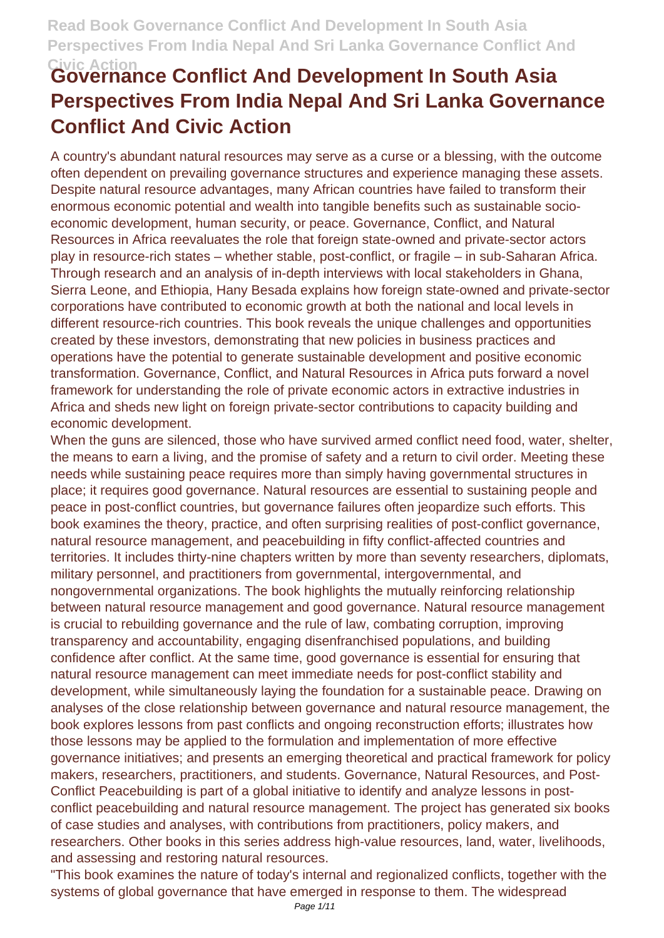# **Civic Action Governance Conflict And Development In South Asia Perspectives From India Nepal And Sri Lanka Governance Conflict And Civic Action**

A country's abundant natural resources may serve as a curse or a blessing, with the outcome often dependent on prevailing governance structures and experience managing these assets. Despite natural resource advantages, many African countries have failed to transform their enormous economic potential and wealth into tangible benefits such as sustainable socioeconomic development, human security, or peace. Governance, Conflict, and Natural Resources in Africa reevaluates the role that foreign state-owned and private-sector actors play in resource-rich states – whether stable, post-conflict, or fragile – in sub-Saharan Africa. Through research and an analysis of in-depth interviews with local stakeholders in Ghana, Sierra Leone, and Ethiopia, Hany Besada explains how foreign state-owned and private-sector corporations have contributed to economic growth at both the national and local levels in different resource-rich countries. This book reveals the unique challenges and opportunities created by these investors, demonstrating that new policies in business practices and operations have the potential to generate sustainable development and positive economic transformation. Governance, Conflict, and Natural Resources in Africa puts forward a novel framework for understanding the role of private economic actors in extractive industries in Africa and sheds new light on foreign private-sector contributions to capacity building and economic development.

When the guns are silenced, those who have survived armed conflict need food, water, shelter, the means to earn a living, and the promise of safety and a return to civil order. Meeting these needs while sustaining peace requires more than simply having governmental structures in place; it requires good governance. Natural resources are essential to sustaining people and peace in post-conflict countries, but governance failures often jeopardize such efforts. This book examines the theory, practice, and often surprising realities of post-conflict governance, natural resource management, and peacebuilding in fifty conflict-affected countries and territories. It includes thirty-nine chapters written by more than seventy researchers, diplomats, military personnel, and practitioners from governmental, intergovernmental, and nongovernmental organizations. The book highlights the mutually reinforcing relationship between natural resource management and good governance. Natural resource management is crucial to rebuilding governance and the rule of law, combating corruption, improving transparency and accountability, engaging disenfranchised populations, and building confidence after conflict. At the same time, good governance is essential for ensuring that natural resource management can meet immediate needs for post-conflict stability and development, while simultaneously laying the foundation for a sustainable peace. Drawing on analyses of the close relationship between governance and natural resource management, the book explores lessons from past conflicts and ongoing reconstruction efforts; illustrates how those lessons may be applied to the formulation and implementation of more effective governance initiatives; and presents an emerging theoretical and practical framework for policy makers, researchers, practitioners, and students. Governance, Natural Resources, and Post-Conflict Peacebuilding is part of a global initiative to identify and analyze lessons in postconflict peacebuilding and natural resource management. The project has generated six books of case studies and analyses, with contributions from practitioners, policy makers, and researchers. Other books in this series address high-value resources, land, water, livelihoods, and assessing and restoring natural resources.

"This book examines the nature of today's internal and regionalized conflicts, together with the systems of global governance that have emerged in response to them. The widespread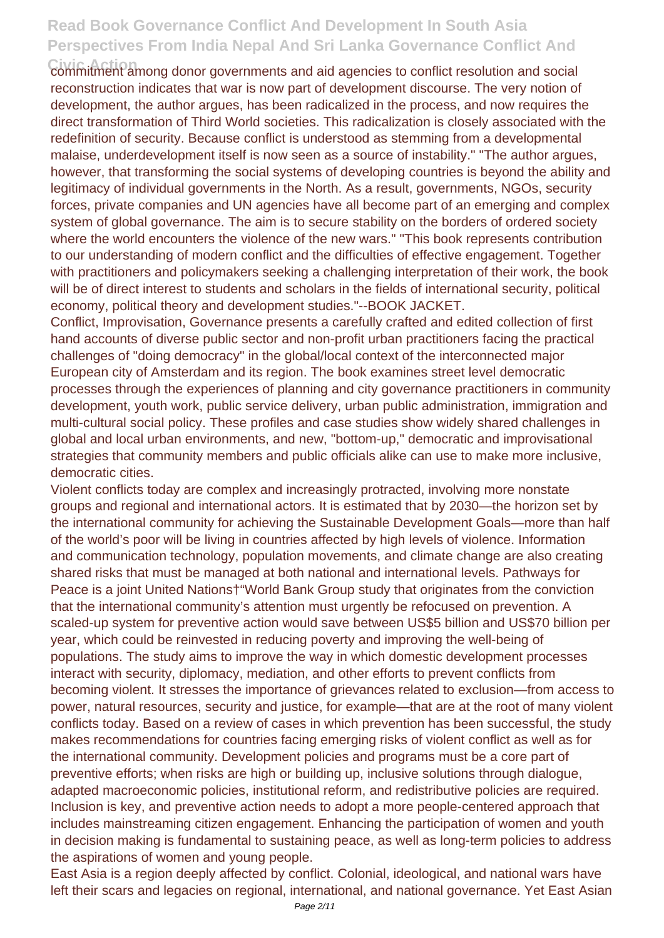**Civic Action** commitment among donor governments and aid agencies to conflict resolution and social reconstruction indicates that war is now part of development discourse. The very notion of development, the author argues, has been radicalized in the process, and now requires the direct transformation of Third World societies. This radicalization is closely associated with the redefinition of security. Because conflict is understood as stemming from a developmental malaise, underdevelopment itself is now seen as a source of instability." "The author argues, however, that transforming the social systems of developing countries is beyond the ability and legitimacy of individual governments in the North. As a result, governments, NGOs, security forces, private companies and UN agencies have all become part of an emerging and complex system of global governance. The aim is to secure stability on the borders of ordered society where the world encounters the violence of the new wars." "This book represents contribution to our understanding of modern conflict and the difficulties of effective engagement. Together with practitioners and policymakers seeking a challenging interpretation of their work, the book will be of direct interest to students and scholars in the fields of international security, political economy, political theory and development studies."--BOOK JACKET.

Conflict, Improvisation, Governance presents a carefully crafted and edited collection of first hand accounts of diverse public sector and non-profit urban practitioners facing the practical challenges of "doing democracy" in the global/local context of the interconnected major European city of Amsterdam and its region. The book examines street level democratic processes through the experiences of planning and city governance practitioners in community development, youth work, public service delivery, urban public administration, immigration and multi-cultural social policy. These profiles and case studies show widely shared challenges in global and local urban environments, and new, "bottom-up," democratic and improvisational strategies that community members and public officials alike can use to make more inclusive, democratic cities.

Violent conflicts today are complex and increasingly protracted, involving more nonstate groups and regional and international actors. It is estimated that by 2030—the horizon set by the international community for achieving the Sustainable Development Goals—more than half of the world's poor will be living in countries affected by high levels of violence. Information and communication technology, population movements, and climate change are also creating shared risks that must be managed at both national and international levels. Pathways for Peace is a joint United Nations†"World Bank Group study that originates from the conviction that the international community's attention must urgently be refocused on prevention. A scaled-up system for preventive action would save between US\$5 billion and US\$70 billion per year, which could be reinvested in reducing poverty and improving the well-being of populations. The study aims to improve the way in which domestic development processes interact with security, diplomacy, mediation, and other efforts to prevent conflicts from becoming violent. It stresses the importance of grievances related to exclusion—from access to power, natural resources, security and justice, for example—that are at the root of many violent conflicts today. Based on a review of cases in which prevention has been successful, the study makes recommendations for countries facing emerging risks of violent conflict as well as for the international community. Development policies and programs must be a core part of preventive efforts; when risks are high or building up, inclusive solutions through dialogue, adapted macroeconomic policies, institutional reform, and redistributive policies are required. Inclusion is key, and preventive action needs to adopt a more people-centered approach that includes mainstreaming citizen engagement. Enhancing the participation of women and youth in decision making is fundamental to sustaining peace, as well as long-term policies to address the aspirations of women and young people.

East Asia is a region deeply affected by conflict. Colonial, ideological, and national wars have left their scars and legacies on regional, international, and national governance. Yet East Asian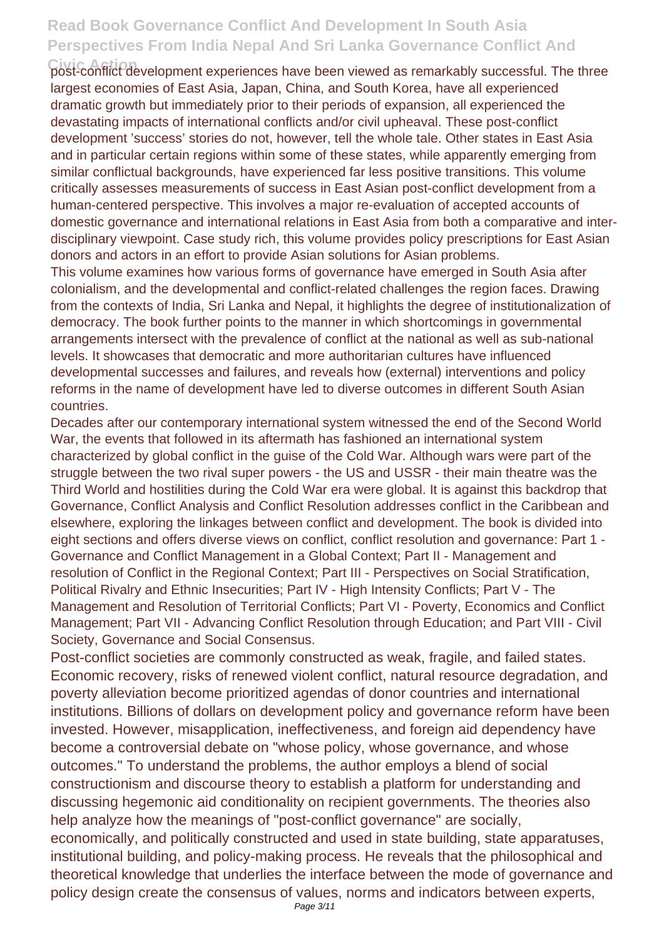**Civic Action** post-conflict development experiences have been viewed as remarkably successful. The three largest economies of East Asia, Japan, China, and South Korea, have all experienced dramatic growth but immediately prior to their periods of expansion, all experienced the devastating impacts of international conflicts and/or civil upheaval. These post-conflict development 'success' stories do not, however, tell the whole tale. Other states in East Asia and in particular certain regions within some of these states, while apparently emerging from similar conflictual backgrounds, have experienced far less positive transitions. This volume critically assesses measurements of success in East Asian post-conflict development from a human-centered perspective. This involves a major re-evaluation of accepted accounts of domestic governance and international relations in East Asia from both a comparative and interdisciplinary viewpoint. Case study rich, this volume provides policy prescriptions for East Asian donors and actors in an effort to provide Asian solutions for Asian problems.

This volume examines how various forms of governance have emerged in South Asia after colonialism, and the developmental and conflict-related challenges the region faces. Drawing from the contexts of India, Sri Lanka and Nepal, it highlights the degree of institutionalization of democracy. The book further points to the manner in which shortcomings in governmental arrangements intersect with the prevalence of conflict at the national as well as sub-national levels. It showcases that democratic and more authoritarian cultures have influenced developmental successes and failures, and reveals how (external) interventions and policy reforms in the name of development have led to diverse outcomes in different South Asian countries.

Decades after our contemporary international system witnessed the end of the Second World War, the events that followed in its aftermath has fashioned an international system characterized by global conflict in the guise of the Cold War. Although wars were part of the struggle between the two rival super powers - the US and USSR - their main theatre was the Third World and hostilities during the Cold War era were global. It is against this backdrop that Governance, Conflict Analysis and Conflict Resolution addresses conflict in the Caribbean and elsewhere, exploring the linkages between conflict and development. The book is divided into eight sections and offers diverse views on conflict, conflict resolution and governance: Part 1 - Governance and Conflict Management in a Global Context; Part II - Management and resolution of Conflict in the Regional Context; Part III - Perspectives on Social Stratification, Political Rivalry and Ethnic Insecurities; Part IV - High Intensity Conflicts; Part V - The Management and Resolution of Territorial Conflicts; Part VI - Poverty, Economics and Conflict Management; Part VII - Advancing Conflict Resolution through Education; and Part VIII - Civil Society, Governance and Social Consensus.

Post-conflict societies are commonly constructed as weak, fragile, and failed states. Economic recovery, risks of renewed violent conflict, natural resource degradation, and poverty alleviation become prioritized agendas of donor countries and international institutions. Billions of dollars on development policy and governance reform have been invested. However, misapplication, ineffectiveness, and foreign aid dependency have become a controversial debate on "whose policy, whose governance, and whose outcomes." To understand the problems, the author employs a blend of social constructionism and discourse theory to establish a platform for understanding and discussing hegemonic aid conditionality on recipient governments. The theories also help analyze how the meanings of "post-conflict governance" are socially, economically, and politically constructed and used in state building, state apparatuses, institutional building, and policy-making process. He reveals that the philosophical and theoretical knowledge that underlies the interface between the mode of governance and policy design create the consensus of values, norms and indicators between experts,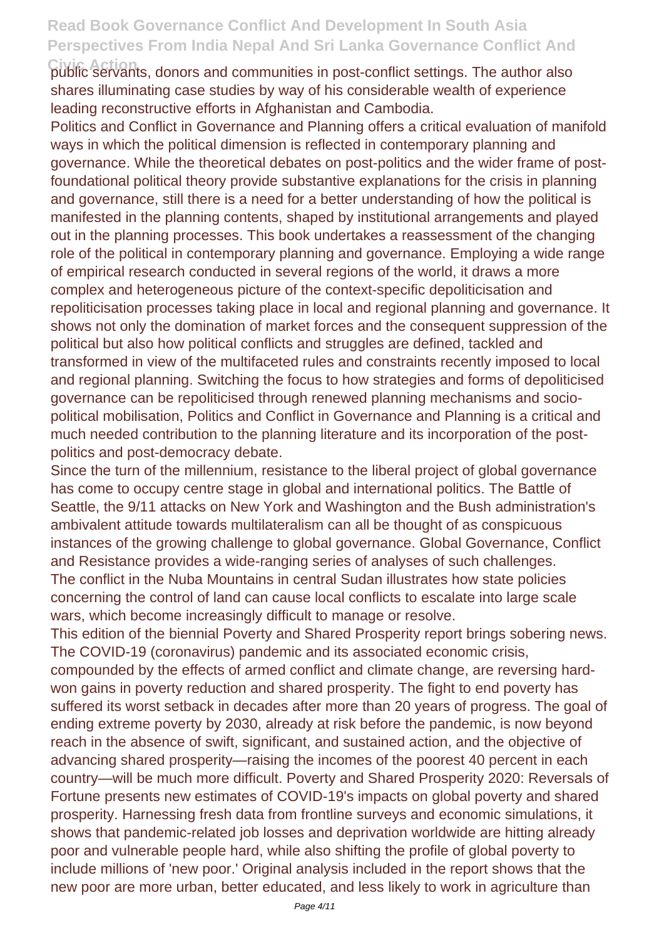**Civic Action** public servants, donors and communities in post-conflict settings. The author also shares illuminating case studies by way of his considerable wealth of experience leading reconstructive efforts in Afghanistan and Cambodia.

Politics and Conflict in Governance and Planning offers a critical evaluation of manifold ways in which the political dimension is reflected in contemporary planning and governance. While the theoretical debates on post-politics and the wider frame of postfoundational political theory provide substantive explanations for the crisis in planning and governance, still there is a need for a better understanding of how the political is manifested in the planning contents, shaped by institutional arrangements and played out in the planning processes. This book undertakes a reassessment of the changing role of the political in contemporary planning and governance. Employing a wide range of empirical research conducted in several regions of the world, it draws a more complex and heterogeneous picture of the context-specific depoliticisation and repoliticisation processes taking place in local and regional planning and governance. It shows not only the domination of market forces and the consequent suppression of the political but also how political conflicts and struggles are defined, tackled and transformed in view of the multifaceted rules and constraints recently imposed to local and regional planning. Switching the focus to how strategies and forms of depoliticised governance can be repoliticised through renewed planning mechanisms and sociopolitical mobilisation, Politics and Conflict in Governance and Planning is a critical and much needed contribution to the planning literature and its incorporation of the postpolitics and post-democracy debate.

Since the turn of the millennium, resistance to the liberal project of global governance has come to occupy centre stage in global and international politics. The Battle of Seattle, the 9/11 attacks on New York and Washington and the Bush administration's ambivalent attitude towards multilateralism can all be thought of as conspicuous instances of the growing challenge to global governance. Global Governance, Conflict and Resistance provides a wide-ranging series of analyses of such challenges. The conflict in the Nuba Mountains in central Sudan illustrates how state policies concerning the control of land can cause local conflicts to escalate into large scale wars, which become increasingly difficult to manage or resolve.

This edition of the biennial Poverty and Shared Prosperity report brings sobering news. The COVID-19 (coronavirus) pandemic and its associated economic crisis, compounded by the effects of armed conflict and climate change, are reversing hardwon gains in poverty reduction and shared prosperity. The fight to end poverty has suffered its worst setback in decades after more than 20 years of progress. The goal of ending extreme poverty by 2030, already at risk before the pandemic, is now beyond reach in the absence of swift, significant, and sustained action, and the objective of advancing shared prosperity—raising the incomes of the poorest 40 percent in each country—will be much more difficult. Poverty and Shared Prosperity 2020: Reversals of Fortune presents new estimates of COVID-19's impacts on global poverty and shared prosperity. Harnessing fresh data from frontline surveys and economic simulations, it shows that pandemic-related job losses and deprivation worldwide are hitting already poor and vulnerable people hard, while also shifting the profile of global poverty to include millions of 'new poor.' Original analysis included in the report shows that the new poor are more urban, better educated, and less likely to work in agriculture than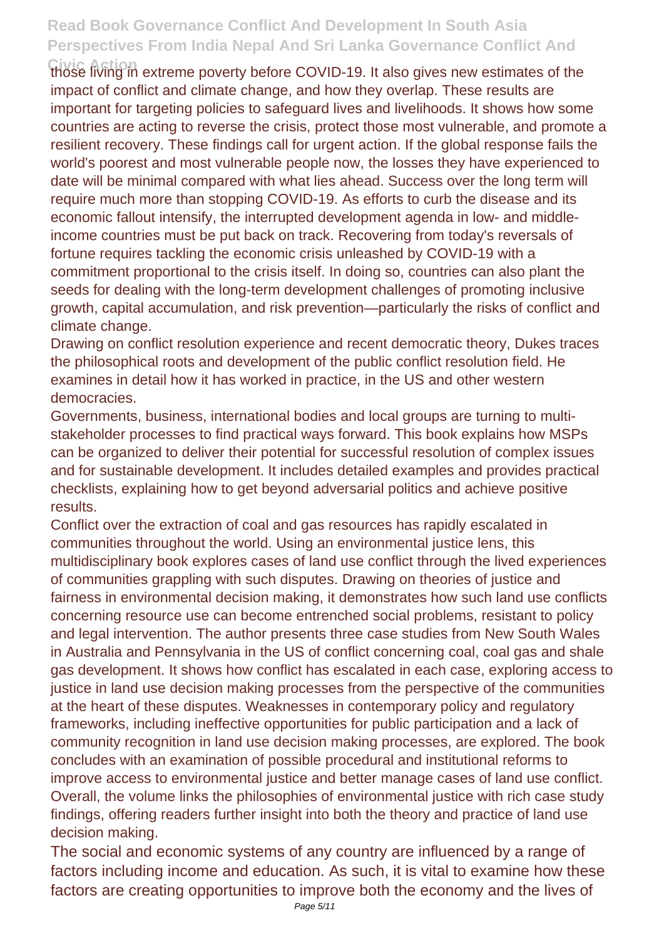those living in extreme poverty before COVID-19. It also gives new estimates of the impact of conflict and climate change, and how they overlap. These results are important for targeting policies to safeguard lives and livelihoods. It shows how some countries are acting to reverse the crisis, protect those most vulnerable, and promote a resilient recovery. These findings call for urgent action. If the global response fails the world's poorest and most vulnerable people now, the losses they have experienced to date will be minimal compared with what lies ahead. Success over the long term will require much more than stopping COVID-19. As efforts to curb the disease and its economic fallout intensify, the interrupted development agenda in low- and middleincome countries must be put back on track. Recovering from today's reversals of fortune requires tackling the economic crisis unleashed by COVID-19 with a commitment proportional to the crisis itself. In doing so, countries can also plant the seeds for dealing with the long-term development challenges of promoting inclusive growth, capital accumulation, and risk prevention—particularly the risks of conflict and climate change.

Drawing on conflict resolution experience and recent democratic theory, Dukes traces the philosophical roots and development of the public conflict resolution field. He examines in detail how it has worked in practice, in the US and other western democracies.

Governments, business, international bodies and local groups are turning to multistakeholder processes to find practical ways forward. This book explains how MSPs can be organized to deliver their potential for successful resolution of complex issues and for sustainable development. It includes detailed examples and provides practical checklists, explaining how to get beyond adversarial politics and achieve positive results.

Conflict over the extraction of coal and gas resources has rapidly escalated in communities throughout the world. Using an environmental justice lens, this multidisciplinary book explores cases of land use conflict through the lived experiences of communities grappling with such disputes. Drawing on theories of justice and fairness in environmental decision making, it demonstrates how such land use conflicts concerning resource use can become entrenched social problems, resistant to policy and legal intervention. The author presents three case studies from New South Wales in Australia and Pennsylvania in the US of conflict concerning coal, coal gas and shale gas development. It shows how conflict has escalated in each case, exploring access to justice in land use decision making processes from the perspective of the communities at the heart of these disputes. Weaknesses in contemporary policy and regulatory frameworks, including ineffective opportunities for public participation and a lack of community recognition in land use decision making processes, are explored. The book concludes with an examination of possible procedural and institutional reforms to improve access to environmental justice and better manage cases of land use conflict. Overall, the volume links the philosophies of environmental justice with rich case study findings, offering readers further insight into both the theory and practice of land use decision making.

The social and economic systems of any country are influenced by a range of factors including income and education. As such, it is vital to examine how these factors are creating opportunities to improve both the economy and the lives of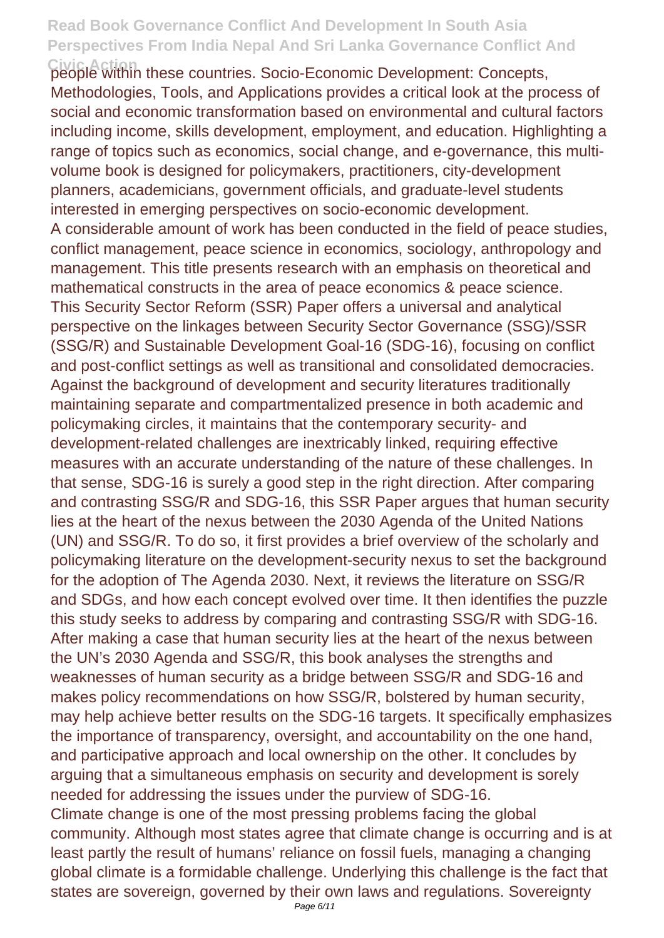**Civic Action** people within these countries. Socio-Economic Development: Concepts, Methodologies, Tools, and Applications provides a critical look at the process of social and economic transformation based on environmental and cultural factors including income, skills development, employment, and education. Highlighting a range of topics such as economics, social change, and e-governance, this multivolume book is designed for policymakers, practitioners, city-development planners, academicians, government officials, and graduate-level students interested in emerging perspectives on socio-economic development. A considerable amount of work has been conducted in the field of peace studies, conflict management, peace science in economics, sociology, anthropology and management. This title presents research with an emphasis on theoretical and mathematical constructs in the area of peace economics & peace science. This Security Sector Reform (SSR) Paper offers a universal and analytical perspective on the linkages between Security Sector Governance (SSG)/SSR (SSG/R) and Sustainable Development Goal-16 (SDG-16), focusing on conflict and post-conflict settings as well as transitional and consolidated democracies. Against the background of development and security literatures traditionally maintaining separate and compartmentalized presence in both academic and policymaking circles, it maintains that the contemporary security- and development-related challenges are inextricably linked, requiring effective measures with an accurate understanding of the nature of these challenges. In that sense, SDG-16 is surely a good step in the right direction. After comparing and contrasting SSG/R and SDG-16, this SSR Paper argues that human security lies at the heart of the nexus between the 2030 Agenda of the United Nations (UN) and SSG/R. To do so, it first provides a brief overview of the scholarly and policymaking literature on the development-security nexus to set the background for the adoption of The Agenda 2030. Next, it reviews the literature on SSG/R and SDGs, and how each concept evolved over time. It then identifies the puzzle this study seeks to address by comparing and contrasting SSG/R with SDG-16. After making a case that human security lies at the heart of the nexus between the UN's 2030 Agenda and SSG/R, this book analyses the strengths and weaknesses of human security as a bridge between SSG/R and SDG-16 and makes policy recommendations on how SSG/R, bolstered by human security, may help achieve better results on the SDG-16 targets. It specifically emphasizes the importance of transparency, oversight, and accountability on the one hand, and participative approach and local ownership on the other. It concludes by arguing that a simultaneous emphasis on security and development is sorely needed for addressing the issues under the purview of SDG-16. Climate change is one of the most pressing problems facing the global community. Although most states agree that climate change is occurring and is at least partly the result of humans' reliance on fossil fuels, managing a changing global climate is a formidable challenge. Underlying this challenge is the fact that states are sovereign, governed by their own laws and regulations. Sovereignty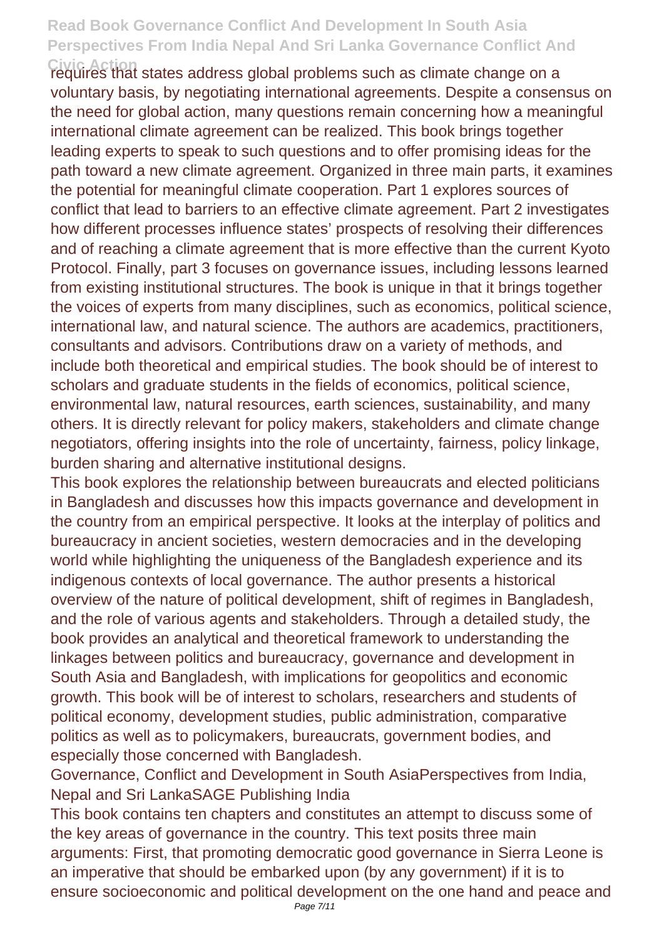**Civic Action** requires that states address global problems such as climate change on a voluntary basis, by negotiating international agreements. Despite a consensus on the need for global action, many questions remain concerning how a meaningful international climate agreement can be realized. This book brings together leading experts to speak to such questions and to offer promising ideas for the path toward a new climate agreement. Organized in three main parts, it examines the potential for meaningful climate cooperation. Part 1 explores sources of conflict that lead to barriers to an effective climate agreement. Part 2 investigates how different processes influence states' prospects of resolving their differences and of reaching a climate agreement that is more effective than the current Kyoto Protocol. Finally, part 3 focuses on governance issues, including lessons learned from existing institutional structures. The book is unique in that it brings together the voices of experts from many disciplines, such as economics, political science, international law, and natural science. The authors are academics, practitioners, consultants and advisors. Contributions draw on a variety of methods, and include both theoretical and empirical studies. The book should be of interest to scholars and graduate students in the fields of economics, political science, environmental law, natural resources, earth sciences, sustainability, and many others. It is directly relevant for policy makers, stakeholders and climate change negotiators, offering insights into the role of uncertainty, fairness, policy linkage, burden sharing and alternative institutional designs.

This book explores the relationship between bureaucrats and elected politicians in Bangladesh and discusses how this impacts governance and development in the country from an empirical perspective. It looks at the interplay of politics and bureaucracy in ancient societies, western democracies and in the developing world while highlighting the uniqueness of the Bangladesh experience and its indigenous contexts of local governance. The author presents a historical overview of the nature of political development, shift of regimes in Bangladesh, and the role of various agents and stakeholders. Through a detailed study, the book provides an analytical and theoretical framework to understanding the linkages between politics and bureaucracy, governance and development in South Asia and Bangladesh, with implications for geopolitics and economic growth. This book will be of interest to scholars, researchers and students of political economy, development studies, public administration, comparative politics as well as to policymakers, bureaucrats, government bodies, and especially those concerned with Bangladesh.

Governance, Conflict and Development in South AsiaPerspectives from India, Nepal and Sri LankaSAGE Publishing India

This book contains ten chapters and constitutes an attempt to discuss some of the key areas of governance in the country. This text posits three main arguments: First, that promoting democratic good governance in Sierra Leone is an imperative that should be embarked upon (by any government) if it is to ensure socioeconomic and political development on the one hand and peace and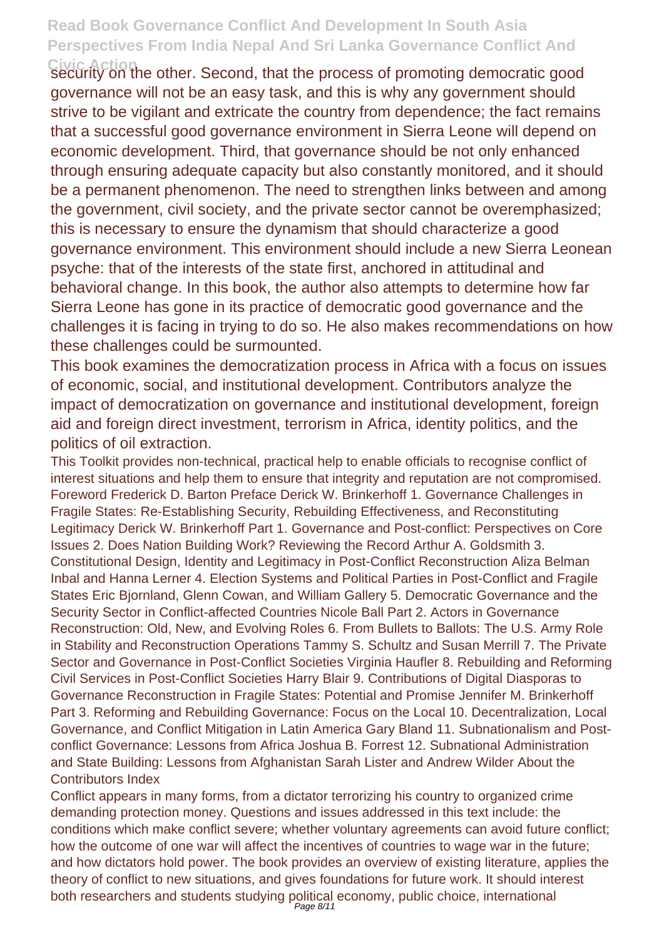**Civic Action** security on the other. Second, that the process of promoting democratic good governance will not be an easy task, and this is why any government should strive to be vigilant and extricate the country from dependence; the fact remains that a successful good governance environment in Sierra Leone will depend on economic development. Third, that governance should be not only enhanced through ensuring adequate capacity but also constantly monitored, and it should be a permanent phenomenon. The need to strengthen links between and among the government, civil society, and the private sector cannot be overemphasized; this is necessary to ensure the dynamism that should characterize a good governance environment. This environment should include a new Sierra Leonean psyche: that of the interests of the state first, anchored in attitudinal and behavioral change. In this book, the author also attempts to determine how far Sierra Leone has gone in its practice of democratic good governance and the challenges it is facing in trying to do so. He also makes recommendations on how these challenges could be surmounted.

This book examines the democratization process in Africa with a focus on issues of economic, social, and institutional development. Contributors analyze the impact of democratization on governance and institutional development, foreign aid and foreign direct investment, terrorism in Africa, identity politics, and the politics of oil extraction.

This Toolkit provides non-technical, practical help to enable officials to recognise conflict of interest situations and help them to ensure that integrity and reputation are not compromised. Foreword Frederick D. Barton Preface Derick W. Brinkerhoff 1. Governance Challenges in Fragile States: Re-Establishing Security, Rebuilding Effectiveness, and Reconstituting Legitimacy Derick W. Brinkerhoff Part 1. Governance and Post-conflict: Perspectives on Core Issues 2. Does Nation Building Work? Reviewing the Record Arthur A. Goldsmith 3. Constitutional Design, Identity and Legitimacy in Post-Conflict Reconstruction Aliza Belman Inbal and Hanna Lerner 4. Election Systems and Political Parties in Post-Conflict and Fragile States Eric Bjornland, Glenn Cowan, and William Gallery 5. Democratic Governance and the Security Sector in Conflict-affected Countries Nicole Ball Part 2. Actors in Governance Reconstruction: Old, New, and Evolving Roles 6. From Bullets to Ballots: The U.S. Army Role in Stability and Reconstruction Operations Tammy S. Schultz and Susan Merrill 7. The Private Sector and Governance in Post-Conflict Societies Virginia Haufler 8. Rebuilding and Reforming Civil Services in Post-Conflict Societies Harry Blair 9. Contributions of Digital Diasporas to Governance Reconstruction in Fragile States: Potential and Promise Jennifer M. Brinkerhoff Part 3. Reforming and Rebuilding Governance: Focus on the Local 10. Decentralization, Local Governance, and Conflict Mitigation in Latin America Gary Bland 11. Subnationalism and Postconflict Governance: Lessons from Africa Joshua B. Forrest 12. Subnational Administration and State Building: Lessons from Afghanistan Sarah Lister and Andrew Wilder About the Contributors Index

Conflict appears in many forms, from a dictator terrorizing his country to organized crime demanding protection money. Questions and issues addressed in this text include: the conditions which make conflict severe; whether voluntary agreements can avoid future conflict; how the outcome of one war will affect the incentives of countries to wage war in the future; and how dictators hold power. The book provides an overview of existing literature, applies the theory of conflict to new situations, and gives foundations for future work. It should interest both researchers and students studying political economy, public choice, international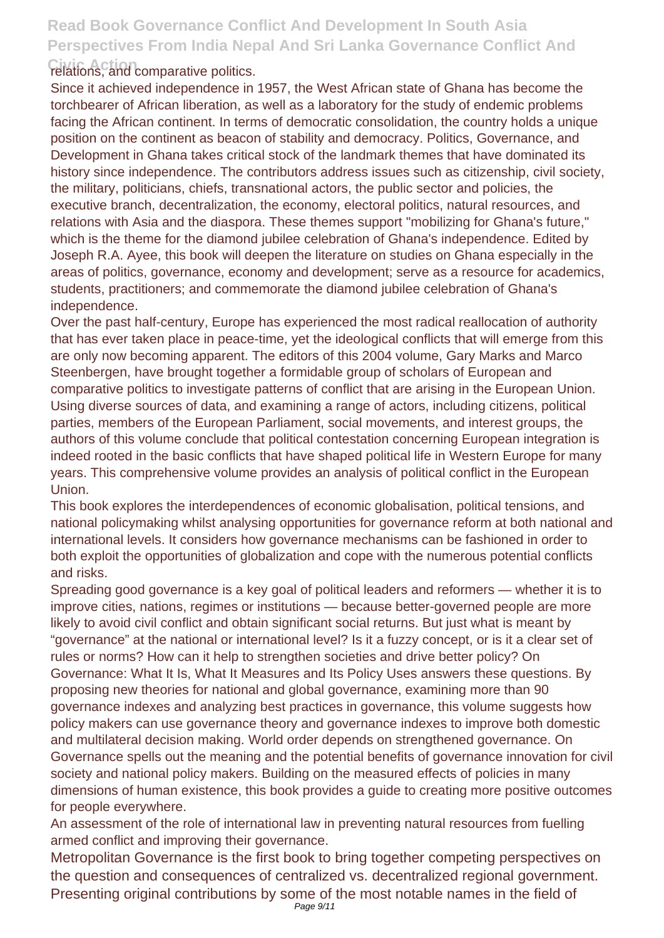#### **Civic Action** relations, and comparative politics.

Since it achieved independence in 1957, the West African state of Ghana has become the torchbearer of African liberation, as well as a laboratory for the study of endemic problems facing the African continent. In terms of democratic consolidation, the country holds a unique position on the continent as beacon of stability and democracy. Politics, Governance, and Development in Ghana takes critical stock of the landmark themes that have dominated its history since independence. The contributors address issues such as citizenship, civil society, the military, politicians, chiefs, transnational actors, the public sector and policies, the executive branch, decentralization, the economy, electoral politics, natural resources, and relations with Asia and the diaspora. These themes support "mobilizing for Ghana's future," which is the theme for the diamond jubilee celebration of Ghana's independence. Edited by Joseph R.A. Ayee, this book will deepen the literature on studies on Ghana especially in the areas of politics, governance, economy and development; serve as a resource for academics, students, practitioners; and commemorate the diamond jubilee celebration of Ghana's independence.

Over the past half-century, Europe has experienced the most radical reallocation of authority that has ever taken place in peace-time, yet the ideological conflicts that will emerge from this are only now becoming apparent. The editors of this 2004 volume, Gary Marks and Marco Steenbergen, have brought together a formidable group of scholars of European and comparative politics to investigate patterns of conflict that are arising in the European Union. Using diverse sources of data, and examining a range of actors, including citizens, political parties, members of the European Parliament, social movements, and interest groups, the authors of this volume conclude that political contestation concerning European integration is indeed rooted in the basic conflicts that have shaped political life in Western Europe for many years. This comprehensive volume provides an analysis of political conflict in the European Union.

This book explores the interdependences of economic globalisation, political tensions, and national policymaking whilst analysing opportunities for governance reform at both national and international levels. It considers how governance mechanisms can be fashioned in order to both exploit the opportunities of globalization and cope with the numerous potential conflicts and risks.

Spreading good governance is a key goal of political leaders and reformers — whether it is to improve cities, nations, regimes or institutions — because better-governed people are more likely to avoid civil conflict and obtain significant social returns. But just what is meant by "governance" at the national or international level? Is it a fuzzy concept, or is it a clear set of rules or norms? How can it help to strengthen societies and drive better policy? On Governance: What It Is, What It Measures and Its Policy Uses answers these questions. By proposing new theories for national and global governance, examining more than 90 governance indexes and analyzing best practices in governance, this volume suggests how policy makers can use governance theory and governance indexes to improve both domestic and multilateral decision making. World order depends on strengthened governance. On Governance spells out the meaning and the potential benefits of governance innovation for civil society and national policy makers. Building on the measured effects of policies in many dimensions of human existence, this book provides a guide to creating more positive outcomes for people everywhere.

An assessment of the role of international law in preventing natural resources from fuelling armed conflict and improving their governance.

Metropolitan Governance is the first book to bring together competing perspectives on the question and consequences of centralized vs. decentralized regional government. Presenting original contributions by some of the most notable names in the field of Page 9/11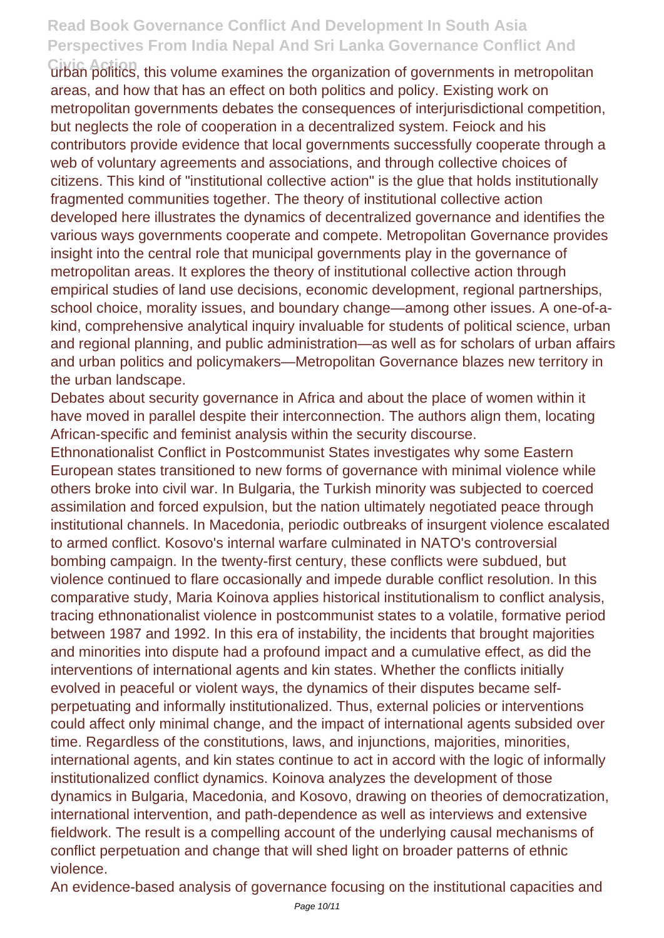Civic Action<br>urban politics, this volume examines the organization of governments in metropolitan areas, and how that has an effect on both politics and policy. Existing work on metropolitan governments debates the consequences of interjurisdictional competition, but neglects the role of cooperation in a decentralized system. Feiock and his contributors provide evidence that local governments successfully cooperate through a web of voluntary agreements and associations, and through collective choices of citizens. This kind of "institutional collective action" is the glue that holds institutionally fragmented communities together. The theory of institutional collective action developed here illustrates the dynamics of decentralized governance and identifies the various ways governments cooperate and compete. Metropolitan Governance provides insight into the central role that municipal governments play in the governance of metropolitan areas. It explores the theory of institutional collective action through empirical studies of land use decisions, economic development, regional partnerships, school choice, morality issues, and boundary change—among other issues. A one-of-akind, comprehensive analytical inquiry invaluable for students of political science, urban and regional planning, and public administration—as well as for scholars of urban affairs and urban politics and policymakers—Metropolitan Governance blazes new territory in the urban landscape.

Debates about security governance in Africa and about the place of women within it have moved in parallel despite their interconnection. The authors align them, locating African-specific and feminist analysis within the security discourse.

Ethnonationalist Conflict in Postcommunist States investigates why some Eastern European states transitioned to new forms of governance with minimal violence while others broke into civil war. In Bulgaria, the Turkish minority was subjected to coerced assimilation and forced expulsion, but the nation ultimately negotiated peace through institutional channels. In Macedonia, periodic outbreaks of insurgent violence escalated to armed conflict. Kosovo's internal warfare culminated in NATO's controversial bombing campaign. In the twenty-first century, these conflicts were subdued, but violence continued to flare occasionally and impede durable conflict resolution. In this comparative study, Maria Koinova applies historical institutionalism to conflict analysis, tracing ethnonationalist violence in postcommunist states to a volatile, formative period between 1987 and 1992. In this era of instability, the incidents that brought majorities and minorities into dispute had a profound impact and a cumulative effect, as did the interventions of international agents and kin states. Whether the conflicts initially evolved in peaceful or violent ways, the dynamics of their disputes became selfperpetuating and informally institutionalized. Thus, external policies or interventions could affect only minimal change, and the impact of international agents subsided over time. Regardless of the constitutions, laws, and injunctions, majorities, minorities, international agents, and kin states continue to act in accord with the logic of informally institutionalized conflict dynamics. Koinova analyzes the development of those dynamics in Bulgaria, Macedonia, and Kosovo, drawing on theories of democratization, international intervention, and path-dependence as well as interviews and extensive fieldwork. The result is a compelling account of the underlying causal mechanisms of conflict perpetuation and change that will shed light on broader patterns of ethnic violence.

An evidence-based analysis of governance focusing on the institutional capacities and